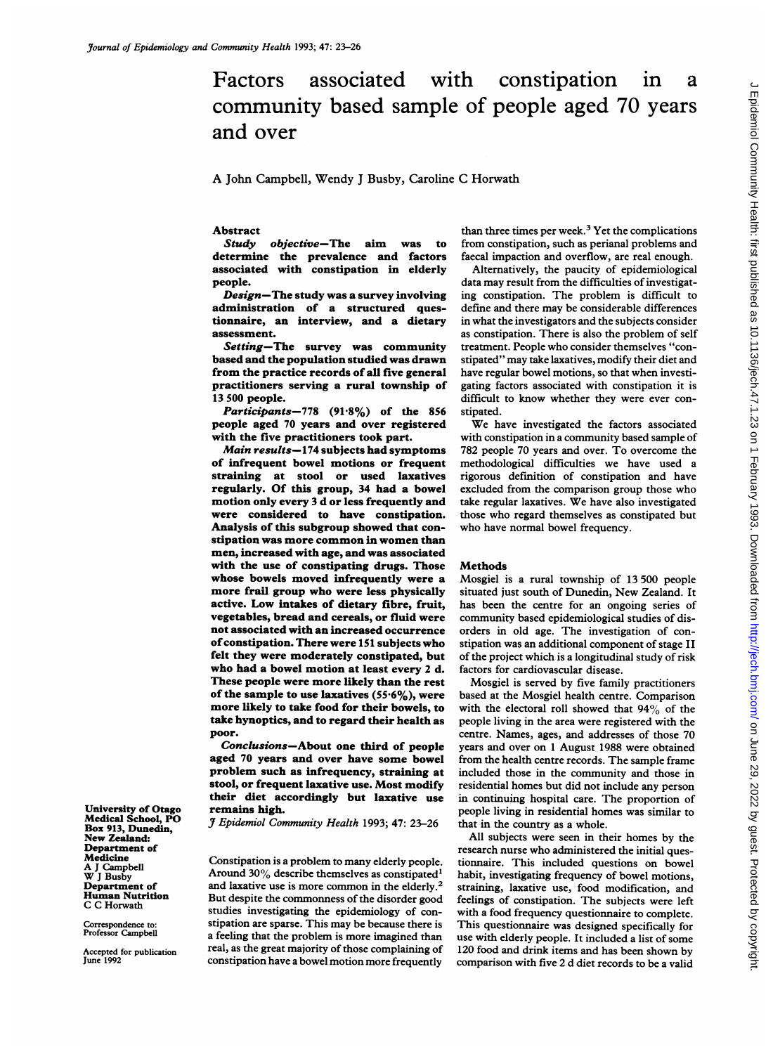# Factors associated with constipation in a community based sample of people aged 70 years and over

## A John Campbell, Wendy <sup>J</sup> Busby, Caroline C Horwath

## Abstract<br>Study

objective-The aim was to determine the prevalence and factors associated with constipation in elderly people.

Design-The study was a survey involving administration of a structured questionnaire, an interview, and a dietary assessment.

Setting-The survey was community based and the population studied was drawn from the practice records of all five general practitioners serving a rural township of 13 500 people.

Participants-778  $(91.8\%)$  of the 856 people aged 70 years and over registered with the five practitioners took part.

Main results-174 subjects had symptoms of infrequent bowel motions or frequent straining at stool or used laxatives regularly. Of this group, 34 had a bowel motion only every <sup>3</sup> d or less frequently and were considered to have constipation. Analysis of this subgroup showed that constipation was more common in women than men, increased with age, and was associated with the use of constipating drugs. Those whose bowels moved infrequently were a more frail group who were less physically active. Low intakes of dietary fibre, fruit, vegetables, bread and cereals, or fluid were not associated with an increased occurrence of constipation. There were 151 subjects who felt they were moderately constipated, but who had a bowel motion at least every <sup>2</sup> d. These people were more likely than the rest of the sample to use laxatives  $(55.6\%)$ , were more likely to take food for their bowels, to take hynoptics, and to regard their health as poor.

Conclusions-About one third of people aged 70 years and over have some bowel problem such as infrequency, straining at stool, or frequent laxative use. Most modify their diet accordingly but laxative use remains high.

J Epidemiol Community Health 1993; 47: 23-26

Constipation is a problem to many elderly people. Around 30% describe themselves as constipated<sup>1</sup> and laxative use is more common in the elderly.<sup>2</sup> But despite the commonness of the disorder good studies investigating the epidemiology of constipation are sparse. This may be because there is a feeling that the problem is more imagined than real, as the great majority of those complaining of constipation have a bowel motion more frequently than three times per week. $3$  Yet the complications from constipation, such as perianal problems and faecal impaction and overflow, are real enough.

Alternatively, the paucity of epidemiological data may result from the difficulties of investigating constipation. The problem is difficult to define and there may be considerable differences in what the investigators and the subjects consider as constipation. There is also the problem of self treatment. People who consider themselves "constipated" may take laxatives, modify their diet and have regular bowel motions, so that when investigating factors associated with constipation it is difficult to know whether they were ever constipated.

We have investigated the factors associated with constipation in a community based sample of 782 people 70 years and over. To overcome the methodological difficulties we have used a rigorous definition of constipation and have excluded from the comparison group those who take regular laxatives. We have also investigated those who regard themselves as constipated but who have normal bowel frequency.

#### Methods

Mosgiel is a rural township of 13 500 people situated just south of Dunedin, New Zealand. It has been the centre for an ongoing series of community based epidemiological studies of disorders in old age. The investigation of constipation was an additional component of stage II of the project which is a longitudinal study of risk factors for cardiovascular disease.

Mosgiel is served by five family practitioners based at the Mosgiel health centre. Comparison with the electoral roll showed that  $94\%$  of the people living in the area were registered with the centre. Names, ages, and addresses of those 70 years and over on <sup>1</sup> August 1988 were obtained from the health centre records. The sample frame included those in the community and those in residential homes but did not include any person in continuing hospital care. The proportion of people living in residential homes was similar to that in the country as a whole.

All subjects were seen in their homes by the research nurse who administered the initial questionnaire. This included questions on bowel habit, investigating frequency of bowel motions, straining, laxative use, food modification, and feelings of constipation. The subjects were left with a food frequency questionnaire to complete. This questionnaire was designed specifically for use with elderly people. It included a list of some 120 food and drink items and has been shown by comparison with five 2 d diet records to be a valid

University of Otago Medical School, PO Box 913, Dunedin, New Zealand: Department of **Medicine** A <sup>J</sup> Campbell W <sup>J</sup> Busby Department of Human Nutrition C C Horwath

Correspondence to: Professor Campbell

Accepted for publication June 1992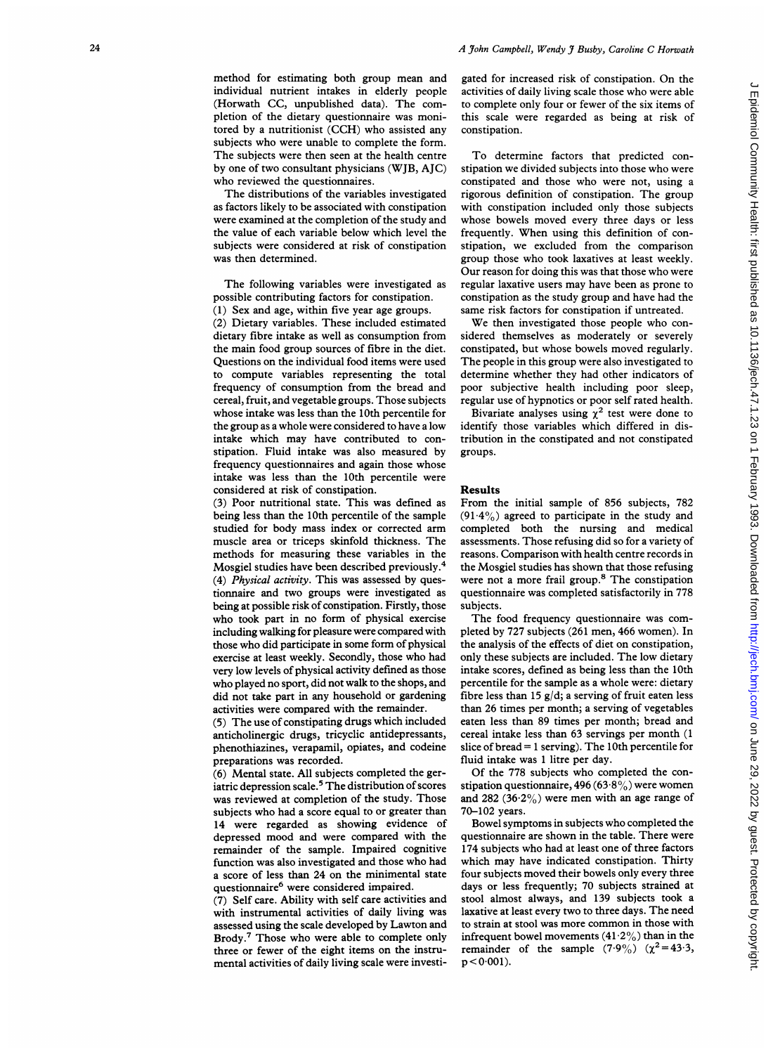method for estimating both group mean and individual nutrient intakes in elderly people (Horwath CC, unpublished data). The completion of the dietary questionnaire was monitored by <sup>a</sup> nutritionist (CCH) who assisted any subjects who were unable to complete the form. The subjects were then seen at the health centre by one of two consultant physicians (WJB, AJC) who reviewed the questionnaires.

The distributions of the variables investigated as factors likely to be associated with constipation were examined at the completion of the study and the value of each variable below which level the subjects were considered at risk of constipation was then determined.

The following variables were investigated as possible contributing factors for constipation.

(1) Sex and age, within five year age groups.

(2) Dietary variables. These included estimated dietary fibre intake as well as consumption from the main food group sources of fibre in the diet. Questions on the individual food items were used to compute variables representing the total frequency of consumption from the bread and cereal, fruit, and vegetable groups. Those subjects whose intake was less than the 10th percentile for the group as a whole were considered to have a low intake which may have contributed to constipation. Fluid intake was also measured by frequency questionnaires and again those whose intake was less than the 10th percentile were considered at risk of constipation.

(3) Poor nutritional state. This was defined as being less than the 10th percentile of the sample studied for body mass index or corrected arm muscle area or triceps skinfold thickness. The methods for measuring these variables in the Mosgiel studies have been described previously.4 (4) Physical activity. This was assessed by questionnaire and two groups were investigated as being at possible risk of constipation. Firstly, those who took part in no form of physical exercise including walking for pleasure were compared with those who did participate in some form of physical exercise at least weekly. Secondly, those who had very low levels of physical activity defined as those who played no sport, did not walk to the shops, and did not take part in any household or gardening activities were compared with the remainder.

(5) The use of constipating drugs which included anticholinergic drugs, tricyclic antidepressants, phenothiazines, verapamil, opiates, and codeine preparations was recorded.

(6) Mental state. All subjects completed the geriatric depression scale.<sup>5</sup> The distribution of scores was reviewed at completion of the study. Those subjects who had a score equal to or greater than 14 were regarded as showing evidence of depressed mood and were compared with the remainder of the sample. Impaired cognitive function was also investigated and those who had a score of less than 24 on the minimental state questionnaire6 were considered impaired.

(7) Self care. Ability with self care activities and with instrumental activities of daily living was assessed using the scale developed by Lawton and Brody.<sup>7</sup> Those who were able to complete only three or fewer of the eight items on the instrumental activities of daily living scale were investigated for increased risk of constipation. On the activities of daily living scale those who were able to complete only four or fewer of the six items of this scale were regarded as being at risk of constipation.

To determine factors that predicted constipation we divided subjects into those who were constipated and those who were not, using a rigorous definition of constipation. The group with constipation included only those subjects whose bowels moved every three days or less frequently. When using this definition of constipation, we excluded from the comparison group those who took laxatives at least weekly. Our reason for doing this was that those who were regular laxative users may have been as prone to constipation as the study group and have had the same risk factors for constipation if untreated.

We then investigated those people who considered themselves as moderately or severely constipated, but whose bowels moved regularly. The people in this group were also investigated to determine whether they had other indicators of poor subjective health including poor sleep, regular use of hypnotics or poor self rated health.

Bivariate analyses using  $\chi^2$  test were done to identify those variables which differed in distribution in the constipated and not constipated groups.

#### Results

From the initial sample of 856 subjects, 782  $(91.4\%)$  agreed to participate in the study and completed both the nursing and medical assessments. Those refusing did so for a variety of reasons. Comparison with health centre records in the Mosgiel studies has shown that those refusing were not a more frail group.<sup>8</sup> The constipation questionnaire was completed satisfactorily in 778 subjects.

The food frequency questionnaire was completed by 727 subjects (261 men, 466 women). In the analysis of the effects of diet on constipation, only these subjects are included. The low dietary intake scores, defined as being less than the 10th percentile for the sample as a whole were: dietary fibre less than 15 g/d; a serving of fruit eaten less than 26 times per month; a serving of vegetables eaten less than 89 times per month; bread and cereal intake less than 63 servings per month (1 slice of bread = <sup>1</sup> serving). The 10th percentile for fluid intake was <sup>1</sup> litre per day.

Of the 778 subjects who completed the constipation questionnaire, 496 (63 $-8\%$ ) were women and 282 (36.2%) were men with an age range of 70-102 years.

Bowel symptoms in subjects who completed the questionnaire are shown in the table. There were 174 subjects who had at least one of three factors which may have indicated constipation. Thirty four subjects moved their bowels only every three days or less frequently; 70 subjects strained at stool almost always, and 139 subjects took a laxative at least every two to three days. The need to strain at stool was more common in those with infrequent bowel movements (41.2%) than in the remainder of the sample  $(7.9\%)$   $(\chi^2=43.3,$  $p < 0.001$ ).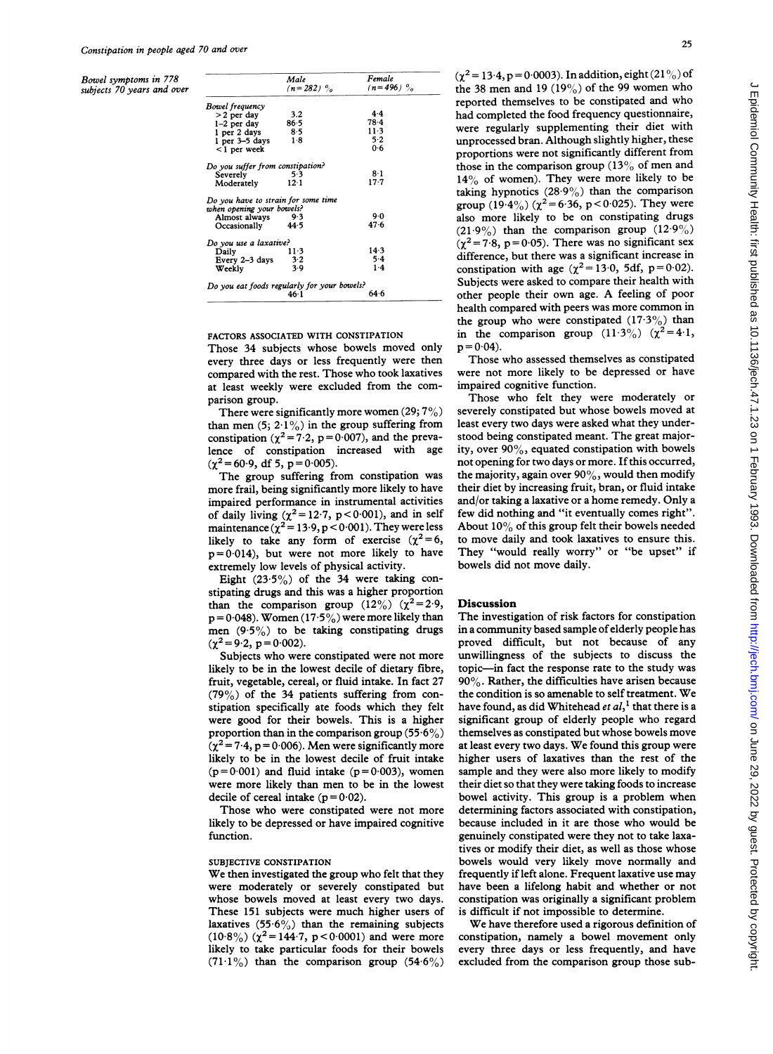Bowel symptoms in 778 subjects 70 years and over

|                                     | Male<br>$(n=282)$ $\frac{6}{6}$             | remaie<br>$(n=496)$ % |
|-------------------------------------|---------------------------------------------|-----------------------|
| Bowel frequency                     |                                             |                       |
| $>2$ per day                        | 3.2                                         | $4 - 4$               |
| $1-2$ per day                       | 86.5                                        | $78-4$                |
| 1 per 2 days                        | 85                                          | $11-3$                |
| 1 per 3–5 days                      | 1.8                                         | 5.2                   |
| $<$ 1 per week                      |                                             | 0.6                   |
| Do you suffer from constipation?    |                                             |                       |
| Severely                            | 5.3                                         | 8·1                   |
| Moderately                          | 12 <sub>1</sub>                             | $17 - 7$              |
| Do you have to strain for some time |                                             |                       |
| when opening your bowels?           |                                             |                       |
| Almost always                       | - 9.3                                       | 9.0                   |
| Occasionally                        | 44.5                                        | 47.6                  |
| Do you use a laxative?              |                                             |                       |
| Daily                               | 11.3                                        | 143                   |
| Every 2-3 days                      | $3-2$                                       | $5-4$                 |
| Weekly                              | 3.9                                         | $1-4$                 |
|                                     | Do you eat foods regularly for your bowels? |                       |
|                                     | $46-1$                                      | 64.6                  |

## FACTORS ASSOCIATED WITH CONSTIPATION

Those 34 subjects whose bowels moved only every three days or less frequently were then compared with the rest. Those who took laxatives at least weekly were excluded from the comparison group.

There were significantly more women  $(29; 7\%)$ than men  $(5; 2.1\%)$  in the group suffering from constipation ( $\chi^2$  = 7.2, p = 0.007), and the prevalence of constipation increased with age  $(\chi^2 = 60.9, \text{ df } 5, \text{ p} = 0.005).$ 

The group suffering from constipation was more frail, being significantly more likely to have impaired performance in instrumental activities of daily living  $(\chi^2 = 12.7, p < 0.001)$ , and in self maintenance  $(\chi^2 = 13.9, p < 0.001)$ . They were less likely to take any form of exercise  $(\chi^2=6,$  $p=0.014$ ), but were not more likely to have extremely low levels of physical activity.

Eight  $(23.5\%)$  of the 34 were taking constipating drugs and this was a higher proportion than the comparison group  $(12\%) (\chi^2=2.9)$ ,  $p = 0.048$ ). Women (17.5%) were more likely than men  $(9.5\%)$  to be taking constipating drugs  $(\chi^2 = 9.2, p = 0.002).$ 

Subjects who were constipated were not more likely to be in the lowest decile of dietary fibre, fruit, vegetable, cereal, or fluid intake. In fact 27 (79%) of the 34 patients suffering from constipation specifically ate foods which they felt were good for their bowels. This is a higher proportion than in the comparison group (55.6%)  $(\chi^2 = 7.4, p = 0.006)$ . Men were significantly more likely to be in the lowest decile of fruit intake  $(p=0.001)$  and fluid intake  $(p=0.003)$ , women were more likely than men to be in the lowest decile of cereal intake  $(p=0.02)$ .

Those who were constipated were not more likely to be depressed or have impaired cognitive function.

## SUBJECTIVE CONSTIPATION

We then investigated the group who felt that they were moderately or severely constipated but whose bowels moved at least every two days. These 151 subjects were much higher users of laxatives  $(55.6\%)$  than the remaining subjects (10.8%) ( $\chi^2$  = 144.7, p < 0.0001) and were more likely to take particular foods for their bowels  $(71.1\%)$  than the comparison group  $(54.6\%)$ 

 $(\gamma^2 = 13.4, p = 0.0003)$ . In addition, eight  $(21\%)$  of the 38 men and 19  $(19\%)$  of the 99 women who reported themselves to be constipated and who had completed the food frequency questionnaire, were regularly supplementing their diet with unprocessed bran. Although slightly higher, these proportions were not significantly different from those in the comparison group (13% of men and  $14\%$  of women). They were more likely to be taking hypnotics  $(28.9\%)$  than the comparison group  $(19.4\%) (\chi^2 = 6.36, p < 0.025)$ . They were also more likely to be on constipating drugs  $(21.9\%)$  than the comparison group  $(12.9\%)$  $(\chi^2 = 7.8, p = 0.05)$ . There was no significant sex difference, but there was a significant increase in constipation with age ( $\chi^2 = 13.0$ , 5df, p=0.02). Subjects were asked to compare their health with other people their own age. A feeling of poor health compared with peers was more common in the group who were constipated  $(17.3\%)$  than in the comparison group  $(11.3\%)$   $(\chi^2=4.1,$  $p = 0.04$ ).

Those who assessed themselves as constipated were not more likely to be depressed or have impaired cognitive function.

Those who felt they were moderately or severely constipated but whose bowels moved at least every two days were asked what they understood being constipated meant. The great majority, over 90%, equated constipation with bowels not opening for two days or more. If this occurred, the majority, again over  $90\%$ , would then modify their diet by increasing fruit, bran, or fluid intake and/or taking <sup>a</sup> laxative or <sup>a</sup> home remedy. Only <sup>a</sup> few did nothing and "it eventually comes right" About 10% of this group felt their bowels needed to move daily and took laxatives to ensure this. They "would really worry" or "be upset" if bowels did not move daily.

### **Discussion**

The investigation of risk factors for constipation in a community based sample of elderly people has proved difficult, but not because of any unwillingness of the subjects to discuss the topic-in fact the response rate to the study was 90%. Rather, the difficulties have arisen because the condition is so amenable to self treatment. We have found, as did Whitehead *et al*,<sup>1</sup> that there is a significant group of elderly people who regard themselves as constipated but whose bowels move at least every two days. We found this group were higher users of laxatives than the rest of the sample and they were also more likely to modify their diet so that they were taking foods to increase bowel activity. This group is <sup>a</sup> problem when determining factors associated with constipation, because included in it are those who would be genuinely constipated were they not to take laxatives or modify their diet, as well as those whose bowels would very likely move normally and frequently if left alone. Frequent laxative use may have been a lifelong habit and whether or not constipation was originally a significant problem is difficult if not impossible to determine.

We have therefore used <sup>a</sup> rigorous definition of constipation, namely a bowel movement only every three days or less frequently, and have excluded from the comparison group those sub